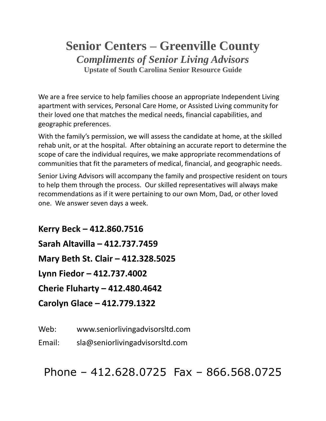## **Senior Centers – Greenville County** *Compliments of Senior Living Advisors* **Upstate of South Carolina Senior Resource Guide**

We are a free service to help families choose an appropriate Independent Living apartment with services, Personal Care Home, or Assisted Living community for their loved one that matches the medical needs, financial capabilities, and geographic preferences.

With the family's permission, we will assess the candidate at home, at the skilled rehab unit, or at the hospital. After obtaining an accurate report to determine the scope of care the individual requires, we make appropriate recommendations of communities that fit the parameters of medical, financial, and geographic needs.

Senior Living Advisors will accompany the family and prospective resident on tours to help them through the process. Our skilled representatives will always make recommendations as if it were pertaining to our own Mom, Dad, or other loved one. We answer seven days a week.

**Kerry Beck – 412.860.7516 Sarah Altavilla – 412.737.7459 Mary Beth St. Clair – 412.328.5025 Lynn Fiedor – 412.737.4002 Cherie Fluharty – 412.480.4642 Carolyn Glace – 412.779.1322**

Web: www.seniorlivingadvisorsltd.com

Email: sla@seniorlivingadvisorsltd.com

Phone – 412.628.0725 Fax – 866.568.0725